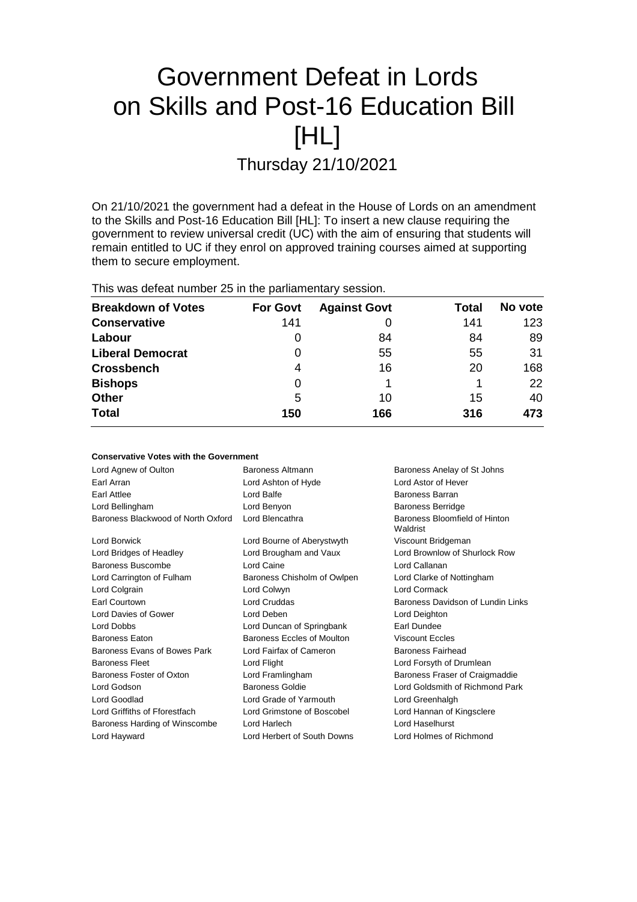# Government Defeat in Lords on Skills and Post-16 Education Bill [HL]

Thursday 21/10/2021

On 21/10/2021 the government had a defeat in the House of Lords on an amendment to the Skills and Post-16 Education Bill [HL]: To insert a new clause requiring the government to review universal credit (UC) with the aim of ensuring that students will remain entitled to UC if they enrol on approved training courses aimed at supporting them to secure employment.

This was defeat number 25 in the parliamentary session.

| <b>Breakdown of Votes</b> | <b>For Govt</b> | <b>Against Govt</b> | Total | No vote |
|---------------------------|-----------------|---------------------|-------|---------|
| <b>Conservative</b>       | 141             |                     | 141   | 123     |
| Labour                    | 0               | 84                  | 84    | 89      |
| <b>Liberal Democrat</b>   | 0               | 55                  | 55    | 31      |
| <b>Crossbench</b>         | 4               | 16                  | 20    | 168     |
| <b>Bishops</b>            | 0               |                     |       | 22      |
| <b>Other</b>              | 5               | 10                  | 15    | 40      |
| <b>Total</b>              | 150             | 166                 | 316   | 473     |

| <b>Conservative Votes with the Government</b> |                             |                                           |  |  |  |
|-----------------------------------------------|-----------------------------|-------------------------------------------|--|--|--|
| Lord Agnew of Oulton                          | Baroness Altmann            | Baroness Anelay of St Johns               |  |  |  |
| Earl Arran                                    | Lord Ashton of Hyde         | <b>Lord Astor of Hever</b>                |  |  |  |
| Earl Attlee                                   | Lord Balfe                  | Baroness Barran                           |  |  |  |
| Lord Bellingham                               | Lord Benyon                 | <b>Baroness Berridge</b>                  |  |  |  |
| Baroness Blackwood of North Oxford            | Lord Blencathra             | Baroness Bloomfield of Hinton<br>Waldrist |  |  |  |
| Lord Borwick                                  | Lord Bourne of Aberystwyth  | Viscount Bridgeman                        |  |  |  |
| Lord Bridges of Headley                       | Lord Brougham and Vaux      | Lord Brownlow of Shurlock Row             |  |  |  |
| Baroness Buscombe                             | Lord Caine                  | Lord Callanan                             |  |  |  |
| Lord Carrington of Fulham                     | Baroness Chisholm of Owlpen | Lord Clarke of Nottingham                 |  |  |  |
| Lord Colgrain                                 | Lord Colwyn                 | <b>Lord Cormack</b>                       |  |  |  |
| Earl Courtown                                 | Lord Cruddas                | Baroness Davidson of Lundin Links         |  |  |  |
| Lord Davies of Gower                          | Lord Deben                  | Lord Deighton                             |  |  |  |
| Lord Dobbs                                    | Lord Duncan of Springbank   | Earl Dundee                               |  |  |  |
| <b>Baroness Eaton</b>                         | Baroness Eccles of Moulton  | <b>Viscount Eccles</b>                    |  |  |  |
| Baroness Evans of Bowes Park                  | Lord Fairfax of Cameron     | <b>Baroness Fairhead</b>                  |  |  |  |
| <b>Baroness Fleet</b>                         | Lord Flight                 | Lord Forsyth of Drumlean                  |  |  |  |
| Baroness Foster of Oxton                      | Lord Framlingham            | Baroness Fraser of Craigmaddie            |  |  |  |
| Lord Godson                                   | <b>Baroness Goldie</b>      | Lord Goldsmith of Richmond Park           |  |  |  |
| Lord Goodlad                                  | Lord Grade of Yarmouth      | Lord Greenhalgh                           |  |  |  |
| Lord Griffiths of Fforestfach                 | Lord Grimstone of Boscobel  | Lord Hannan of Kingsclere                 |  |  |  |
| Baroness Harding of Winscombe                 | Lord Harlech                | Lord Haselhurst                           |  |  |  |
| Lord Hayward                                  | Lord Herbert of South Downs | Lord Holmes of Richmond                   |  |  |  |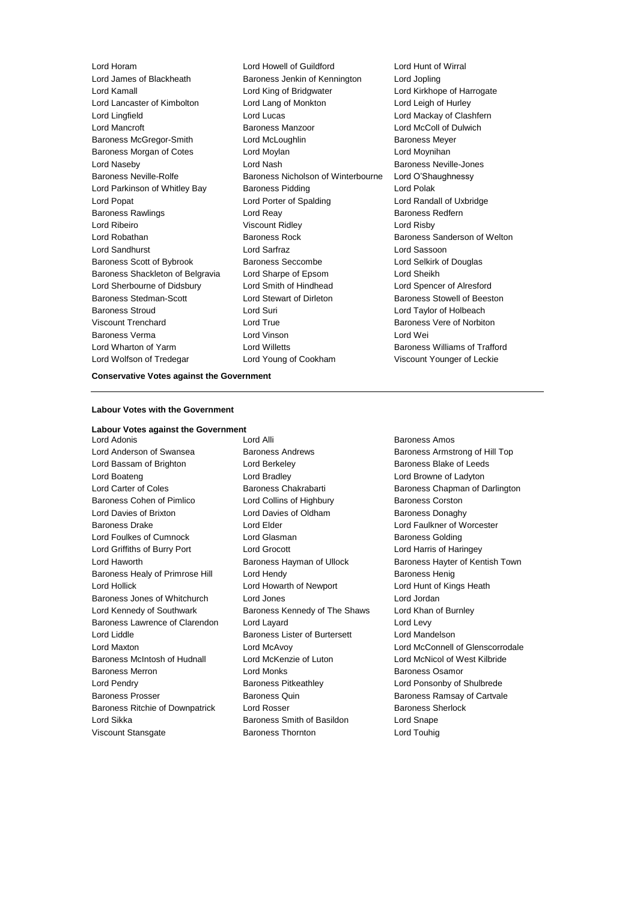Lord Kamall Lord King of Bridgwater Lord Kirkhope of Harrogate Lord Lancaster of Kimbolton Lord Lang of Monkton Lord Leigh of Hurley Lord Lingfield Lord Lucas Lord Mackay of Clashfern Lord Mancroft Baroness Manzoor Lord McColl of Dulwich Baroness McGregor-Smith Lord McLoughlin Baroness Meyer Baroness Morgan of Cotes **Lord Moylan** Lord Moynihan **Lord Moynihan** Lord Naseby **Lord Nash Baroness Neville-Jones** Lord Nash Baroness Neville-Jones Baroness Neville-Rolfe **Baroness Nicholson of Winterbourne** Lord O'Shaughnessy Lord Parkinson of Whitley Bay Baroness Pidding Theorem Cord Polak Lord Popat Lord Porter of Spalding Lord Randall of Uxbridge Baroness Rawlings **Rawlings Lord Reay 19 Search 20 Baroness Redfern** Lord Ribeiro Viscount Ridley Lord Risby Lord Robathan Baroness Rock Baroness Sanderson of Welton Lord Sandhurst Lord Sarfraz Lord Sassoon Baroness Scott of Bybrook Baroness Seccombe Lord Selkirk of Douglas Baroness Shackleton of Belgravia Lord Sharpe of Epsom Lord Sheikh Lord Sherbourne of Didsbury Lord Smith of Hindhead Lord Spencer of Alresford Baroness Stedman-Scott Lord Stewart of Dirleton Baroness Stowell of Beeston Baroness Stroud Lord Suri Lord Taylor of Holbeach Viscount Trenchard Lord True Baroness Vere of Norbiton Baroness Verma Lord Vinson Lord Wei Lord Wharton of Yarm Lord Willetts Baroness Williams of Trafford Lord Wolfson of Tredegar Lord Young of Cookham Viscount Younger of Leckie

Lord Horam **Lord Howell of Guildford** Lord Hunt of Wirral<br>
Lord James of Blackheath **Baroness Jenkin of Kennington** Lord Jopling Baroness Jenkin of Kennington Lord Jopling

# **Conservative Votes against the Government**

### **Labour Votes with the Government**

**Labour Votes against the Government**

**Lord Adonis Lord Alli Baroness Amos** Lord Anderson of Swansea **Baroness Andrews** Baroness Andrews Baroness Armstrong of Hill Top Lord Bassam of Brighton **Lord Berkeley Baroness Blake of Leeds Baroness Blake of Leeds** Lord Boateng Lord Bradley Lord Browne of Ladyton Lord Carter of Coles **Baroness Chakrabarti** Baroness Chapman of Darlington Baroness Cohen of Pimlico **Lord Collins of Highbury** Baroness Corston Lord Davies of Brixton **Lord Davies of Oldham** Baroness Donaghy Baroness Drake **Lord Elder** Lord Elder **Lord Faulkner of Worcester** Lord Foulkes of Cumnock Lord Glasman Baroness Golding Lord Griffiths of Burry Port Lord Grocott Lord Harris of Haringey Lord Haworth **Baroness Hayman of Ullock** Baroness Hayter of Kentish Town Baroness Healy of Primrose Hill Lord Hendy Contract Report Baroness Henig Lord Hollick Lord Howarth of Newport Lord Hunt of Kings Heath Baroness Jones of Whitchurch Lord Jones Lord Jordan Lord Kennedy of Southwark Baroness Kennedy of The Shaws Lord Khan of Burnley Baroness Lawrence of Clarendon Lord Layard Lord Levy Lord Liddle Baroness Lister of Burtersett Lord Mandelson Lord Maxton Lord McAvoy Lord McConnell of Glenscorrodale Baroness McIntosh of Hudnall Lord McKenzie of Luton Lord McNicol of West Kilbride Baroness Merron Lord Monks Baroness Osamor Lord Pendry **Baroness Pitkeathley Baroness Pitkeathley Lord Ponsonby of Shulbrede** Baroness Prosser **Baroness Quin** Baroness Quin Baroness Ramsay of Cartvale Baroness Ritchie of Downpatrick Lord Rosser **Baroness Sherlock** Baroness Sherlock Lord Sikka **Baroness Smith of Basildon** Lord Snape Viscount Stansgate **Baroness Thornton** Controller Lord Touhig